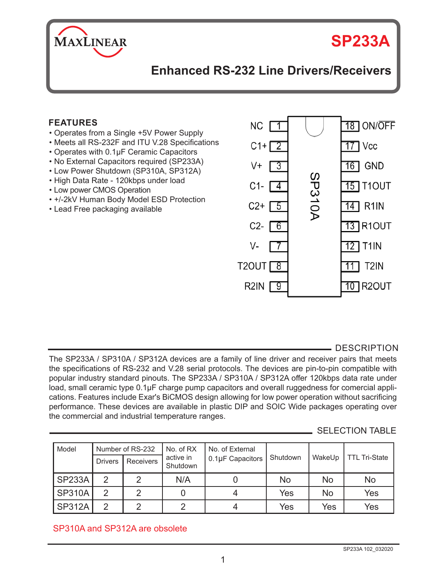

# **SP233A**

# **Enhanced RS-232 Line Drivers/Receivers**

## **FEATURES**

- Operates from a Single +5V Power Supply
- Meets all RS-232F and ITU V.28 Specifications
- Operates with 0.1μF Ceramic Capacitors
- No External Capacitors required (SP233A)
- Low Power Shutdown (SP310A, SP312A)
- High Data Rate 120kbps under load
- Low power CMOS Operation
- +/-2kV Human Body Model ESD Protection
- Lead Free packaging available



#### DESCRIPTION

The SP233A / SP310A / SP312A devices are a family of line driver and receiver pairs that meets the specifications of RS-232 and V.28 serial protocols. The devices are pin-to-pin compatible with popular industry standard pinouts. The SP233A / SP310A / SP312A offer 120kbps data rate under load, small ceramic type 0.1μF charge pump capacitors and overall ruggedness for comercial applications. Features include Exar's BiCMOS design allowing for low power operation without sacrificing performance. These devices are available in plastic DIP and SOIC Wide packages operating over the commercial and industrial temperature ranges.

#### SELECTION TABLE

| Model         |                | Number of RS-232 | No. of RX<br>No. of External |                  |            |        |                      |
|---------------|----------------|------------------|------------------------------|------------------|------------|--------|----------------------|
|               | <b>Drivers</b> | Receivers        | active in<br>Shutdown        | 0.1µF Capacitors | l Shutdown | WakeUp | <b>TTL Tri-State</b> |
| <b>SP233A</b> | っ              | ⌒                | N/A                          |                  | No         | No     | No                   |
| <b>SP310A</b> | っ              | ◠                |                              |                  | Yes        | No     | Yes                  |
| <b>SP312A</b> | っ              | ◠                | ⌒                            |                  | Yes        | Yes    | Yes                  |

#### SP310A and SP312A are obsolete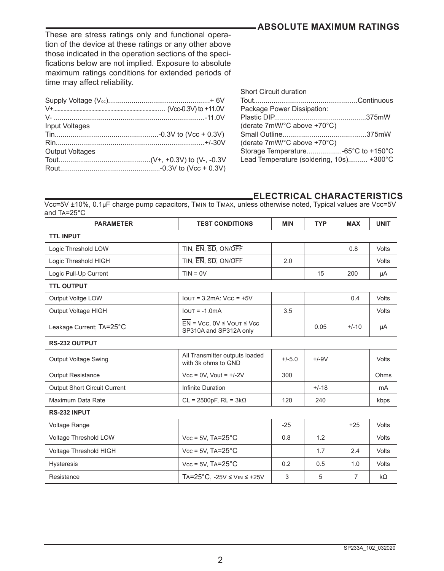# **ABSOLUTE MAXIMUM RATINGS**

These are stress ratings only and functional operation of the device at these ratings or any other above those indicated in the operation sections of the specifications below are not implied. Exposure to absolute maximum ratings conditions for extended periods of time may affect reliability.

| Input Voltages         |  |
|------------------------|--|
|                        |  |
|                        |  |
| <b>Output Voltages</b> |  |
|                        |  |
|                        |  |
|                        |  |

| <b>Short Circuit duration</b>            |  |
|------------------------------------------|--|
| Package Power Dissipation:               |  |
|                                          |  |
| (derate 7mW/°C above +70°C)              |  |
|                                          |  |
| (derate 7mW/°C above +70°C)              |  |
|                                          |  |
| Lead Temperature (soldering, 10s) +300°C |  |

#### **ELECTRICAL CHARACTERISTICS**

Vcc=5V ±10%, 0.1μF charge pump capacitors, Tmin to Tmax, unless otherwise noted, Typical values are Vcc=5V and Ta=25°C

| <b>PARAMETER</b>                    | <b>TEST CONDITIONS</b>                                           | <b>MIN</b> | <b>TYP</b> | <b>MAX</b>     | <b>UNIT</b> |
|-------------------------------------|------------------------------------------------------------------|------------|------------|----------------|-------------|
| <b>TTL INPUT</b>                    |                                                                  |            |            |                |             |
| Logic Threshold LOW                 | TIN, EN, SD, ON/OFF                                              |            |            | 0.8            | Volts       |
| Logic Threshold HIGH                | TIN, EN, SD, ON/OFF                                              | 2.0        |            |                | Volts       |
| Logic Pull-Up Current               | $TIN = 0V$                                                       |            | 15         | 200            | μA          |
| <b>TTL OUTPUT</b>                   |                                                                  |            |            |                |             |
| Output Voltge LOW                   | $I$ out = 3.2mA: $V$ cc = $+5V$                                  |            |            | 0.4            | Volts       |
| Output Voltage HIGH                 | $I$ out = $-1.0$ mA                                              | 3.5        |            |                | Volts       |
| Leakage Current; TA=25°C            | $EN = Vcc$ . 0V $\leq$ VOUT $\leq$ Vcc<br>SP310A and SP312A only |            | 0.05       | $+/-10$        | μA          |
| RS-232 OUTPUT                       |                                                                  |            |            |                |             |
| <b>Output Voltage Swing</b>         | All Transmitter outputs loaded<br>with 3k ohms to GND            | $+/-5.0$   | $+/-9V$    |                | Volts       |
| <b>Output Resistance</b>            | $Vcc = 0V$ , $Vout = +/-2V$                                      | 300        |            |                | Ohms        |
| <b>Output Short Circuit Current</b> | Infinite Duration                                                |            | $+/-18$    |                | mA          |
| Maximum Data Rate                   | $CL = 2500pF$ , RL = $3k\Omega$                                  | 120        | 240        |                | kbps        |
| RS-232 INPUT                        |                                                                  |            |            |                |             |
| Voltage Range                       |                                                                  | $-25$      |            | $+25$          | Volts       |
| Voltage Threshold LOW               | $Vec = 5V$ , $Ta = 25^{\circ}C$                                  | 0.8        | 1.2        |                | Volts       |
| Voltage Threshold HIGH              | $Vec = 5V$ , $Ta = 25^{\circ}C$                                  |            | 1.7        | 2.4            | Volts       |
| <b>Hysteresis</b>                   | $Vec = 5V$ , $Ta = 25^{\circ}C$                                  | 0.2        | 0.5        | 1.0            | Volts       |
| Resistance                          | $TA = 25^{\circ}C$ , -25V ≤ VIN ≤ +25V                           | 3          | 5          | $\overline{7}$ | $k\Omega$   |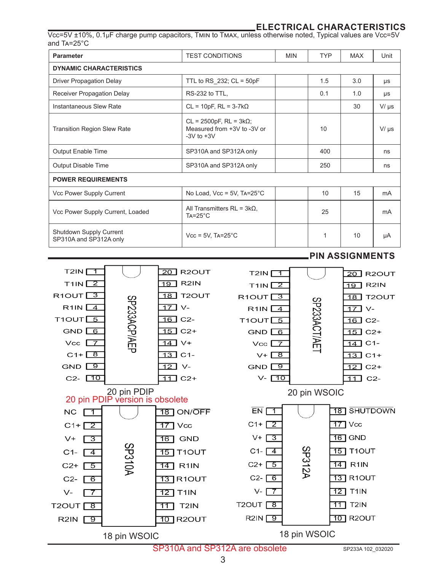#### **ELECTRICAL CHARACTERISTICS**

**PIN ASSIGNMENTS**

Vcc=5V ±10%, 0.1μF charge pump capacitors, Tmin to Tmax, unless otherwise noted, Typical values are Vcc=5V and Ta=25°C

| Parameter                                         | <b>TEST CONDITIONS</b>                                                             | <b>MIN</b> | <b>TYP</b> | <b>MAX</b> | Unit      |
|---------------------------------------------------|------------------------------------------------------------------------------------|------------|------------|------------|-----------|
| <b>DYNAMIC CHARACTERISTICS</b>                    |                                                                                    |            |            |            |           |
| <b>Driver Propagation Delay</b>                   | TTL to RS 232; $CL = 50pF$                                                         |            | 1.5        | 3.0        | μs        |
| Receiver Propagation Delay                        | RS-232 to TTL,                                                                     |            | 0.1        | 1.0        | $\mu s$   |
| Instantaneous Slew Rate                           | $CL = 10pF$ , $RL = 3-7k\Omega$                                                    |            |            | 30         | $V/\mu s$ |
| <b>Transition Region Slew Rate</b>                | $CL = 2500pF$ , $RL = 3k\Omega$ ;<br>Measured from +3V to -3V or<br>$-3V$ to $+3V$ |            | 10         |            | $V/\mu s$ |
| Output Enable Time                                | SP310A and SP312A only                                                             |            | 400        |            | ns        |
| Output Disable Time                               | SP310A and SP312A only                                                             |            | 250        |            | ns        |
| <b>POWER REQUIREMENTS</b>                         |                                                                                    |            |            |            |           |
| Vcc Power Supply Current                          | No Load, $Vec = 5V$ , $Ta=25^{\circ}C$                                             |            | 10         | 15         | mA        |
| Vcc Power Supply Current, Loaded                  | All Transmitters $RL = 3k\Omega$ ,<br>$Ta = 25^{\circ}C$                           |            | 25         |            | mA        |
| Shutdown Supply Current<br>SP310A and SP312A only | $Vcc = 5V$ . TA=25 $°C$                                                            |            | 1          | 10         | μA        |



SP310A and SP312A are obsolete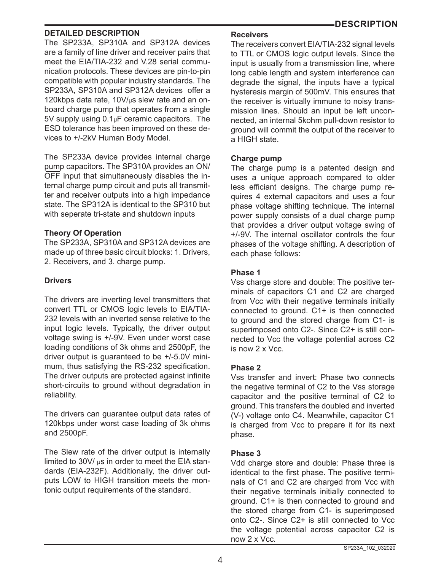#### **DESCRIPTION**

#### **DETAILED DESCRIPTION**

The SP233A, SP310A and SP312A devices are a family of line driver and receiver pairs that meet the EIA/TIA-232 and V.28 serial communication protocols. These devices are pin-to-pin compatible with popular industry standards. The SP233A, SP310A and SP312A devices offer a 120kbps data rate, 10V/μs slew rate and an onboard charge pump that operates from a single 5V supply using 0.1μF ceramic capacitors. The ESD tolerance has been improved on these devices to +/-2kV Human Body Model.

The SP233A device provides internal charge pump capacitors. The SP310A provides an ON/ OFF input that simultaneously disables the internal charge pump circuit and puts all transmitter and receiver outputs into a high impedance state. The SP312A is identical to the SP310 but with seperate tri-state and shutdown inputs

#### **Theory Of Operation**

The SP233A, SP310A and SP312A devices are made up of three basic circuit blocks: 1. Drivers, 2. Receivers, and 3. charge pump.

#### **Drivers**

The drivers are inverting level transmitters that convert TTL or CMOS logic levels to EIA/TIA-232 levels with an inverted sense relative to the input logic levels. Typically, the driver output voltage swing is +/-9V. Even under worst case loading conditions of 3k ohms and 2500pF, the driver output is guaranteed to be +/-5.0V minimum, thus satisfying the RS-232 specification. The driver outputs are protected against infinite short-circuits to ground without degradation in reliability.

The drivers can guarantee output data rates of 120kbps under worst case loading of 3k ohms and 2500pF.

The Slew rate of the driver output is internally limited to 30V/ μs in order to meet the EIA standards (EIA-232F). Additionally, the driver outputs LOW to HIGH transition meets the montonic output requirements of the standard.

#### **Receivers**

The receivers convert EIA/TIA-232 signal levels to TTL or CMOS logic output levels. Since the input is usually from a transmission line, where long cable length and system interference can degrade the signal, the inputs have a typical hysteresis margin of 500mV. This ensures that the receiver is virtually immune to noisy transmission lines. Should an input be left unconnected, an internal 5kohm pull-down resistor to ground will commit the output of the receiver to a HIGH state.

#### **Charge pump**

The charge pump is a patented design and uses a unique approach compared to older less efficiant designs. The charge pump requires 4 external capacitors and uses a four phase voltage shifting technique. The internal power supply consists of a dual charge pump that provides a driver output voltage swing of +/-9V. The internal oscillator controls the four phases of the voltage shifting. A description of each phase follows:

#### **Phase 1**

Vss charge store and double: The positive terminals of capacitors C1 and C2 are charged from Vcc with their negative terminals initially connected to ground. C1+ is then connected to ground and the stored charge from C1- is superimposed onto C2-. Since C2+ is still connected to Vcc the voltage potential across C2 is now 2 x Vcc.

#### **Phase 2**

Vss transfer and invert: Phase two connects the negative terminal of C2 to the Vss storage capacitor and the positive terminal of C2 to ground. This transfers the doubled and inverted (V-) voltage onto C4. Meanwhile, capacitor C1 is charged from Vcc to prepare it for its next phase.

#### **Phase 3**

Vdd charge store and double: Phase three is identical to the first phase. The positive terminals of C1 and C2 are charged from Vcc with their negative terminals initially connected to ground. C1+ is then connected to ground and the stored charge from C1- is superimposed onto C2-. Since C2+ is still connected to Vcc the voltage potential across capacitor C2 is now 2 x Vcc.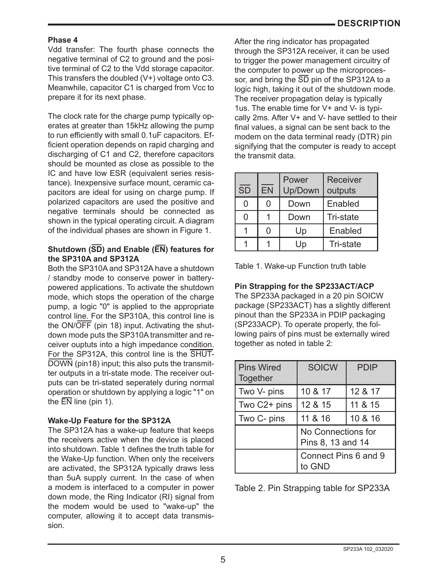#### **Phase 4**

Vdd transfer: The fourth phase connects the negative terminal of C2 to ground and the positive terminal of C2 to the Vdd storage capacitor. This transfers the doubled (V+) voltage onto C3. Meanwhile, capacitor C1 is charged from Vcc to prepare it for its next phase.

The clock rate for the charge pump typically operates at greater than 15kHz allowing the pump to run efficiently with small 0.1uF capacitors. Efficient operation depends on rapid charging and discharging of C1 and C2, therefore capacitors should be mounted as close as possible to the IC and have low ESR (equivalent series resistance). Inexpensive surface mount, ceramic capacitors are ideal for using on charge pump. If polarized capacitors are used the positive and negative terminals should be connected as shown in the typical operating circuit. A diagram of the individual phases are shown in Figure 1.

#### **Shutdown (SD) and Enable (EN) features for the SP310A and SP312A**

Both the SP310A and SP312A have a shutdown / standby mode to conserve power in batterypowered applications. To activate the shutdown mode, which stops the operation of the charge pump, a logic "0" is applied to the appropriate control line. For the SP310A, this control line is the  $ON/\overline{OFF}$  (pin 18) input. Activating the shutdown mode puts the SP310A transmitter and receiver ouptuts into a high impedance condition. For the SP312A, this control line is the SHUT-DOWN (pin18) input; this also puts the transmitter outputs in a tri-state mode. The receiver outputs can be tri-stated seperately during normal operation or shutdown by applying a logic "1" on the  $\overline{FN}$  line (pin 1).

#### **Wake-Up Feature for the SP312A**

The SP312A has a wake-up feature that keeps the receivers active when the device is placed into shutdown. Table 1 defines the truth table for the Wake-Up function. When only the receivers are activated, the SP312A typically draws less than 5uA supply current. In the case of when a modem is interfaced to a computer in power down mode, the Ring Indicator (RI) signal from the modem would be used to "wake-up" the computer, allowing it to accept data transmission.

After the ring indicator has propagated through the SP312A receiver, it can be used to trigger the power management circuitry of the computer to power up the microprocessor, and bring the  $\overline{SD}$  pin of the SP312A to a logic high, taking it out of the shutdown mode. The receiver propagation delay is typically 1us. The enable time for V+ and V- is typically 2ms. After V+ and V- have settled to their final values, a signal can be sent back to the modem on the data terminal ready (DTR) pin signifying that the computer is ready to accept the transmit data.

| $\overline{SD}$ | <b>EN</b> | Power<br>Up/Down | Receiver<br>outputs |
|-----------------|-----------|------------------|---------------------|
| 0               | 0         | Down             | Enabled             |
| 0               |           | Down             | Tri-state           |
|                 | O         | Up               | Enabled             |
|                 |           | Up               | Tri-state           |

| Table 1. Wake-up Function truth table |  |  |  |  |
|---------------------------------------|--|--|--|--|
|---------------------------------------|--|--|--|--|

#### **Pin Strapping for the SP233ACT/ACP**

The SP233A packaged in a 20 pin SOICW package (SP233ACT) has a slightly different pinout than the SP233A in PDIP packaging (SP233ACP). To operate properly, the following pairs of pins must be externally wired together as noted in table 2:

| <b>Pins Wired</b><br>Together | <b>SOICW</b>                            | <b>PDIP</b> |
|-------------------------------|-----------------------------------------|-------------|
| Two V- pins                   | 10 & 17                                 | 12 & 17     |
| Two C2+ pins                  | 12 & 15                                 | 11 & 15     |
| Two C- pins                   | 11 & 16                                 | 10 & 16     |
|                               | No Connections for<br>Pins 8, 13 and 14 |             |
|                               | Connect Pins 6 and 9<br>to GND          |             |

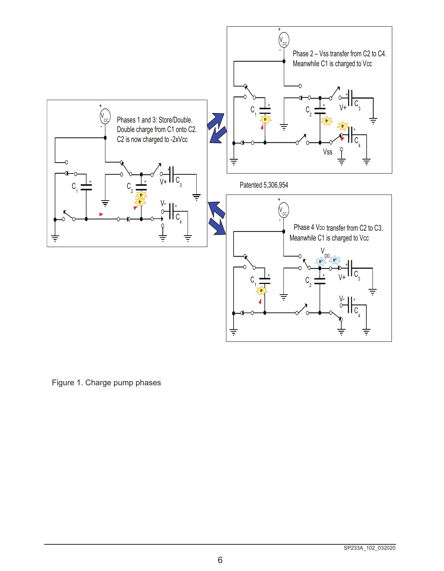

Figure 1. Charge pump phases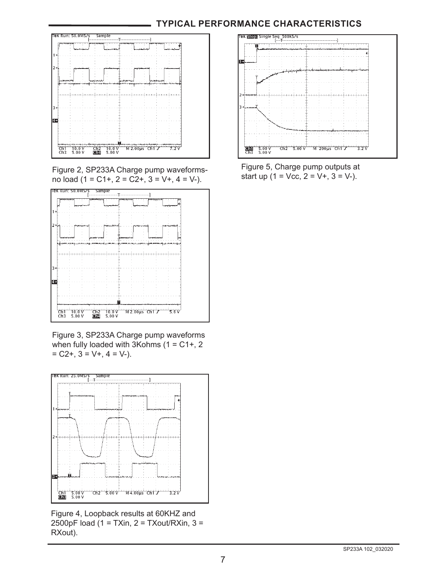### **TYPICAL PERFORMANCE CHARACTERISTICS**



Figure 2, SP233A Charge pump waveformsno load (1 = C1+, 2 = C2+, 3 = V+, 4 = V-).



Figure 3, SP233A Charge pump waveforms when fully loaded with  $3$ Kohms (1 = C1+, 2  $= C2+, 3 = V+, 4 = V-$ ).



Figure 4, Loopback results at 60KHZ and  $2500pF$  load (1 = TXin, 2 = TXout/RXin, 3 = RXout).



Figure 5, Charge pump outputs at start up  $(1 = \text{Vec}, 2 = \text{V+}, 3 = \text{V-}).$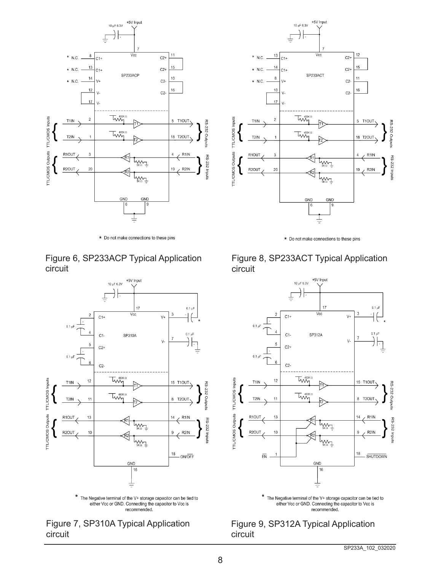

\* Do not make connections to these pins





either Vcc or GND. Connecting the capacitor to Vcc is recommended.





 $*$  Do not make connections to these pins





either Vcc or GND. Connecting the capacitor to Vcc is recommended.

Figure 9, SP312A Typical Application circuit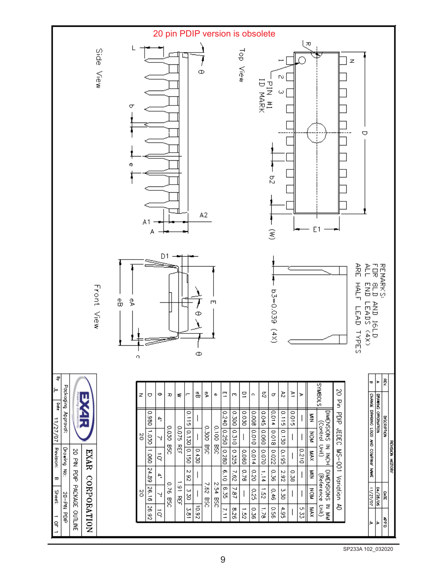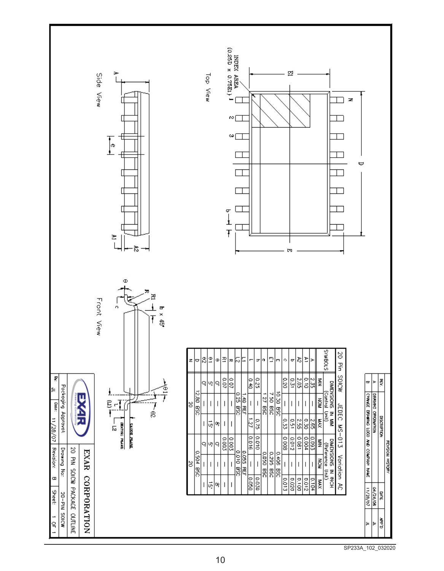

SP233A\_102\_032020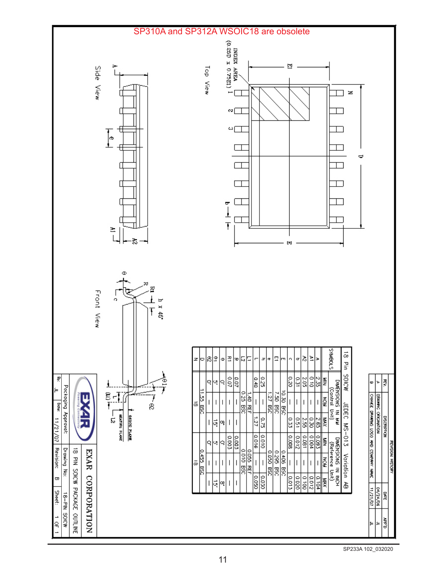